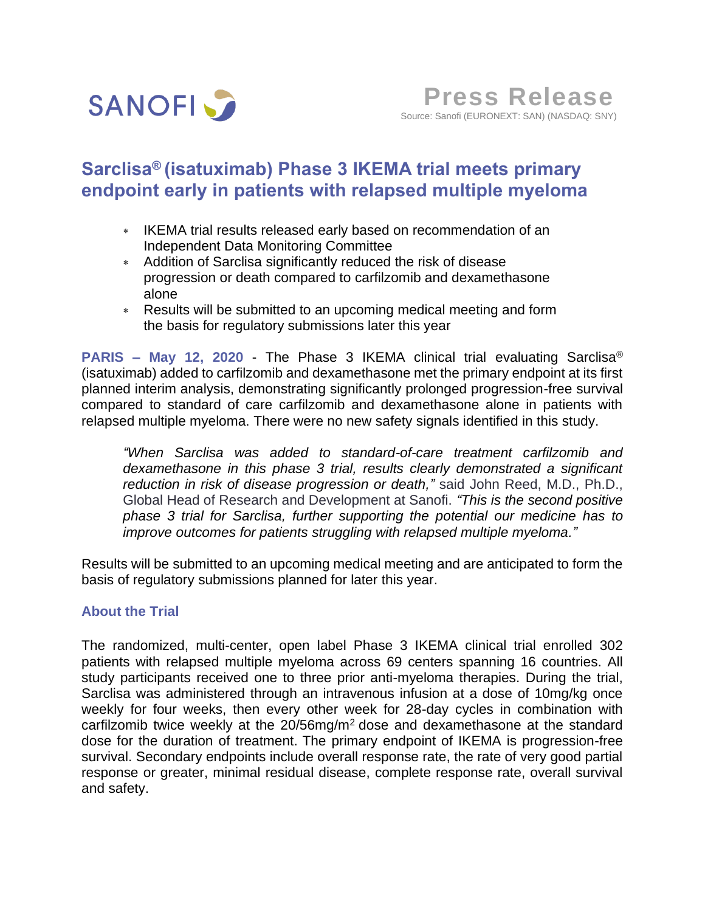

# **Sarclisa® (isatuximab) Phase 3 IKEMA trial meets primary endpoint early in patients with relapsed multiple myeloma**

- IKEMA trial results released early based on recommendation of an Independent Data Monitoring Committee
- Addition of Sarclisa significantly reduced the risk of disease progression or death compared to carfilzomib and dexamethasone alone
- Results will be submitted to an upcoming medical meeting and form the basis for regulatory submissions later this year

**PARIS – May 12, 2020** - The Phase 3 IKEMA clinical trial evaluating Sarclisa® (isatuximab) added to carfilzomib and dexamethasone met the primary endpoint at its first planned interim analysis, demonstrating significantly prolonged progression-free survival compared to standard of care carfilzomib and dexamethasone alone in patients with relapsed multiple myeloma. There were no new safety signals identified in this study.

*"When Sarclisa was added to standard-of-care treatment carfilzomib and dexamethasone in this phase 3 trial, results clearly demonstrated a significant reduction in risk of disease progression or death,"* said John Reed, M.D., Ph.D., Global Head of Research and Development at Sanofi. *"This is the second positive phase 3 trial for Sarclisa, further supporting the potential our medicine has to improve outcomes for patients struggling with relapsed multiple myeloma."*

Results will be submitted to an upcoming medical meeting and are anticipated to form the basis of regulatory submissions planned for later this year.

### **About the Trial**

The randomized, multi-center, open label Phase 3 IKEMA clinical trial enrolled 302 patients with relapsed multiple myeloma across 69 centers spanning 16 countries. All study participants received one to three prior anti-myeloma therapies. During the trial, Sarclisa was administered through an intravenous infusion at a dose of 10mg/kg once weekly for four weeks, then every other week for 28-day cycles in combination with carfilzomib twice weekly at the 20/56mg/m<sup>2</sup> dose and dexamethasone at the standard dose for the duration of treatment. The primary endpoint of IKEMA is progression-free survival. Secondary endpoints include overall response rate, the rate of very good partial response or greater, minimal residual disease, complete response rate, overall survival and safety.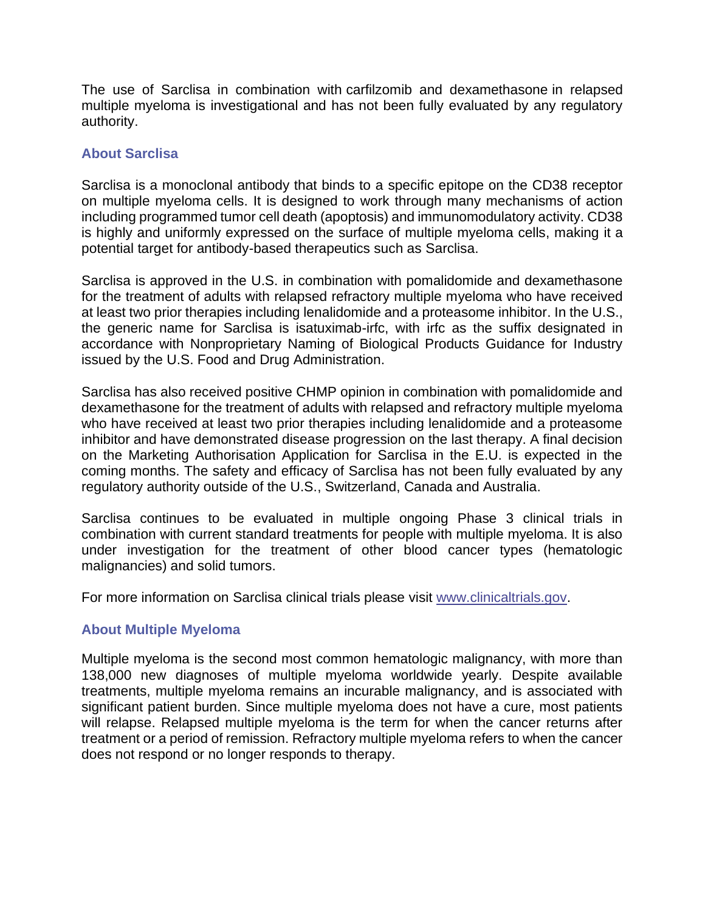The use of Sarclisa in combination with carfilzomib and dexamethasone in relapsed multiple myeloma is investigational and has not been fully evaluated by any regulatory authority.

### **About Sarclisa**

Sarclisa is a monoclonal antibody that binds to a specific epitope on the CD38 receptor on multiple myeloma cells. It is designed to work through many mechanisms of action including programmed tumor cell death (apoptosis) and immunomodulatory activity. CD38 is highly and uniformly expressed on the surface of multiple myeloma cells, making it a potential target for antibody-based therapeutics such as Sarclisa.

Sarclisa is approved in the U.S. in combination with pomalidomide and dexamethasone for the treatment of adults with relapsed refractory multiple myeloma who have received at least two prior therapies including lenalidomide and a proteasome inhibitor. In the U.S., the generic name for Sarclisa is isatuximab-irfc, with irfc as the suffix designated in accordance with Nonproprietary Naming of Biological Products Guidance for Industry issued by the U.S. Food and Drug Administration.

Sarclisa has also received positive CHMP opinion in combination with pomalidomide and dexamethasone for the treatment of adults with relapsed and refractory multiple myeloma who have received at least two prior therapies including lenalidomide and a proteasome inhibitor and have demonstrated disease progression on the last therapy. A final decision on the Marketing Authorisation Application for Sarclisa in the E.U. is expected in the coming months. The safety and efficacy of Sarclisa has not been fully evaluated by any regulatory authority outside of the U.S., Switzerland, Canada and Australia.

Sarclisa continues to be evaluated in multiple ongoing Phase 3 clinical trials in combination with current standard treatments for people with multiple myeloma. It is also under investigation for the treatment of other blood cancer types (hematologic malignancies) and solid tumors.

For more information on Sarclisa clinical trials please visit [www.clinicaltrials.gov.](http://www.clinicaltrials.gov/)

## **About Multiple Myeloma**

Multiple myeloma is the second most common hematologic malignancy, with more than 138,000 new diagnoses of multiple myeloma worldwide yearly. Despite available treatments, multiple myeloma remains an incurable malignancy, and is associated with significant patient burden. Since multiple myeloma does not have a cure, most patients will relapse. Relapsed multiple myeloma is the term for when the cancer returns after treatment or a period of remission. Refractory multiple myeloma refers to when the cancer does not respond or no longer responds to therapy.